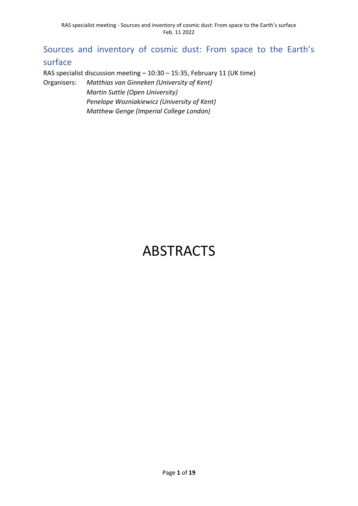# Sources and inventory of cosmic dust: From space to the Earth's surface

RAS specialist discussion meeting – 10:30 – 15:35, February 11 (UK time)

Organisers: *Matthias van Ginneken (University of Kent) Martin Suttle (Open University) Penelope Wozniakiewicz (University of Kent) Matthew Genge (Imperial College London)*

# ABSTRACTS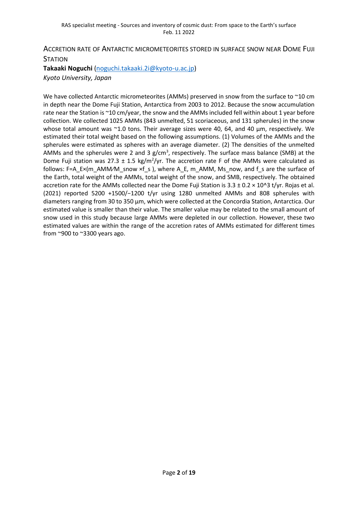# ACCRETION RATE OF ANTARCTIC MICROMETEORITES STORED IN SURFACE SNOW NEAR DOME FUJI **STATION**

**Takaaki Noguchi** [\(noguchi.takaaki.2i@kyoto-u.ac.jp\)](mailto:noguchi.takaaki.2i@kyoto-u.ac.jp) *Kyoto University, Japan*

We have collected Antarctic micrometeorites (AMMs) preserved in snow from the surface to ~10 cm in depth near the Dome Fuji Station, Antarctica from 2003 to 2012. Because the snow accumulation rate near the Station is ~10 cm/year, the snow and the AMMs included fell within about 1 year before collection. We collected 1025 AMMs (843 unmelted, 51 scoriaceous, and 131 spherules) in the snow whose total amount was ~1.0 tons. Their average sizes were 40, 64, and 40 µm, respectively. We estimated their total weight based on the following assumptions. (1) Volumes of the AMMs and the spherules were estimated as spheres with an average diameter. (2) The densities of the unmelted AMMs and the spherules were 2 and 3  $g/cm<sup>3</sup>$ , respectively. The surface mass balance (SMB) at the Dome Fuji station was 27.3  $\pm$  1.5 kg/m<sup>2</sup>/yr. The accretion rate F of the AMMs were calculated as follows: F=A\_E×(m\_AMM/M\_snow ×f\_s ), where A\_E, m\_AMM, Ms\_now, and f\_s are the surface of the Earth, total weight of the AMMs, total weight of the snow, and SMB, respectively. The obtained accretion rate for the AMMs collected near the Dome Fuji Station is  $3.3 \pm 0.2 \times 10^{4}$  t/yr. Rojas et al. (2021) reported 5200 +1500/−1200 t/yr using 1280 unmelted AMMs and 808 spherules with diameters ranging from 30 to 350 μm, which were collected at the Concordia Station, Antarctica. Our estimated value is smaller than their value. The smaller value may be related to the small amount of snow used in this study because large AMMs were depleted in our collection. However, these two estimated values are within the range of the accretion rates of AMMs estimated for different times from ~900 to ~3300 years ago.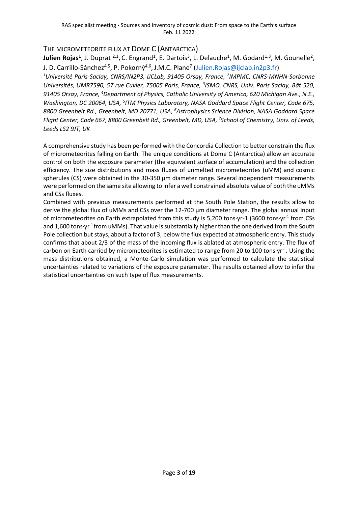## THE MICROMETEORITE FLUX AT DOME C (ANTARCTICA)

**Julien Rojas<sup>1</sup>**, J. Duprat <sup>2,1</sup>, C. Engrand<sup>1</sup>, E. Dartois<sup>3</sup>, L. Delauche<sup>1</sup>, M. Godard<sup>1,3</sup>, M. Gounelle<sup>2</sup>, J. D. Carrillo-Sánchez<sup>4,5</sup>, P. Pokorný<sup>4,6</sup>, J.M.C. Plane<sup>7</sup> (<u>Julien.Rojas@ijclab.in2p3.fr</u>)

<sup>1</sup>Université Paris-Saclay, CNRS/IN2P3, IJCLab, 91405 Orsay, France, <sup>2</sup>IMPMC, CNRS-MNHN-Sorbonne Universités, UMR7590, 57 rue Cuvier, 75005 Paris, France, <sup>3</sup>ISMO, CNRS, Univ. Paris Saclay, Bât 520, *91405 Orsay, France, <sup>4</sup>Department of Physics, Catholic University of America, 620 Michigan Ave., N.E.,*  Washington, DC 20064, USA, <sup>5</sup>ITM Physics Laboratory, NASA Goddard Space Flight Center, Code 675, *8800 Greenbelt Rd., Greenbelt, MD 20771, USA, <sup>6</sup>Astrophysics Science Division, NASA Goddard Space Flight Center, Code 667, 8800 Greenbelt Rd., Greenbelt, MD, USA, 7 School of Chemistry, Univ. of Leeds, Leeds LS2 9JT, UK*

A comprehensive study has been performed with the Concordia Collection to better constrain the flux of micrometeorites falling on Earth. The unique conditions at Dome C (Antarctica) allow an accurate control on both the exposure parameter (the equivalent surface of accumulation) and the collection efficiency. The size distributions and mass fluxes of unmelted micrometeorites (uMM) and cosmic spherules (CS) were obtained in the 30-350 µm diameter range. Several independent measurements were performed on the same site allowing to infer a well constrained absolute value of both the uMMs and CSs fluxes.

Combined with previous measurements performed at the South Pole Station, the results allow to derive the global flux of uMMs and CSs over the 12-700 µm diameter range. The global annual input of micrometeorites on Earth extrapolated from this study is 5,200 tons·yr-1 (3600 tons·yr<sup>-1</sup> from CSs and 1,600 tons yr<sup>-1</sup> from uMMs). That value is substantially higher than the one derived from the South Pole collection but stays, about a factor of 3, below the flux expected at atmospheric entry. This study confirms that about 2/3 of the mass of the incoming flux is ablated at atmospheric entry. The flux of carbon on Earth carried by micrometeorites is estimated to range from 20 to 100 tons·yr<sup>-1</sup>. Using the mass distributions obtained, a Monte-Carlo simulation was performed to calculate the statistical uncertainties related to variations of the exposure parameter. The results obtained allow to infer the statistical uncertainties on such type of flux measurements.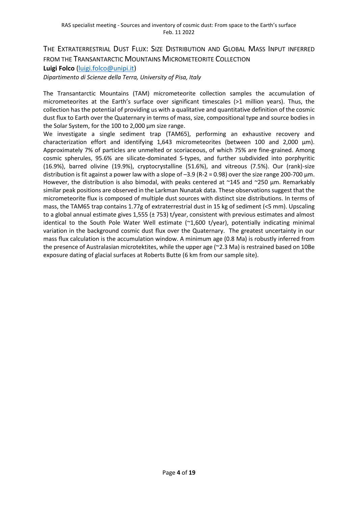THE EXTRATERRESTRIAL DUST FLUX: SIZE DISTRIBUTION AND GLOBAL MASS INPUT INFERRED FROM THE TRANSANTARCTIC MOUNTAINS MICROMETEORITE COLLECTION **Luigi Folco** [\(luigi.folco@unipi.it\)](mailto:luigi.folco@unipi.it)

*Dipartimento di Scienze della Terra, University of Pisa, Italy*

The Transantarctic Mountains (TAM) micrometeorite collection samples the accumulation of micrometeorites at the Earth's surface over significant timescales (>1 million years). Thus, the collection has the potential of providing us with a qualitative and quantitative definition of the cosmic dust flux to Earth over the Quaternary in terms of mass, size, compositional type and source bodies in the Solar System, for the 100 to 2,000 µm size range.

We investigate a single sediment trap (TAM65), performing an exhaustive recovery and characterization effort and identifying  $1,643$  micrometeorites (between 100 and  $2,000 \mu m$ ). Approximately 7% of particles are unmelted or scoriaceous, of which 75% are fine-grained. Among cosmic spherules, 95.6% are silicate-dominated S-types, and further subdivided into porphyritic (16.9%), barred olivine (19.9%), cryptocrystalline (51.6%), and vitreous (7.5%). Our (rank)-size distribution is fit against a power law with a slope of  $-3.9$  (R-2 = 0.98) over the size range 200-700  $\mu$ m. However, the distribution is also bimodal, with peaks centered at ~145 and ~250 µm. Remarkably similar peak positions are observed in the Larkman Nunatak data. These observations suggest that the micrometeorite flux is composed of multiple dust sources with distinct size distributions. In terms of mass, the TAM65 trap contains 1.77g of extraterrestrial dust in 15 kg of sediment (<5 mm). Upscaling to a global annual estimate gives 1,555 (± 753) t/year, consistent with previous estimates and almost identical to the South Pole Water Well estimate (~1,600 t/year), potentially indicating minimal variation in the background cosmic dust flux over the Quaternary. The greatest uncertainty in our mass flux calculation is the accumulation window. A minimum age (0.8 Ma) is robustly inferred from the presence of Australasian microtektites, while the upper age (~2.3 Ma) is restrained based on 10Be exposure dating of glacial surfaces at Roberts Butte (6 km from our sample site).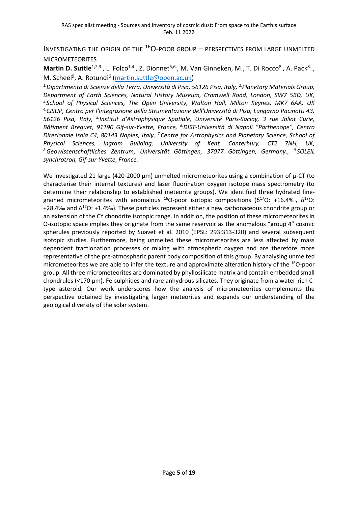INVESTIGATING THE ORIGIN OF THE  $^{16}O$ -POOR GROUP – PERSPECTIVES FROM LARGE UNMELTED MICROMETEORITES

Martin D. Suttle<sup>1,2,3.</sup>, L. Folco<sup>1,4.</sup>, Z. Dionnet<sup>5,6.</sup>, M. Van Ginneken, M., T. Di Rocco<sup>8.</sup>, A. Pack<sup>8.</sup>., M. Scheel<sup>9</sup>, A. Rotundi<sup>6</sup> [\(martin.suttle@open.ac.uk\)](mailto:martin.suttle@open.ac.uk)

*1.Dipartimento di Scienze della Terra, Università di Pisa, 56126 Pisa, Italy, 2.Planetary Materials Group, Department of Earth Sciences, Natural History Museum, Cromwell Road, London, SW7 5BD, UK, 3.School of Physical Sciences, The Open University, Walton Hall, Milton Keynes, MK7 6AA, UK 4.CISUP, Centro per l'Integrazione della Strumentazione dell'Università di Pisa, Lungarno Pacinotti 43,*  56126 Pisa, Italy, <sup>5.</sup> Institut d'Astrophysique Spatiale, Université Paris-Saclay, 3 rue Joliot Curie, *Bâtiment Breguet, 91190 Gif-sur-Yvette, France, 6.DIST-Università di Napoli "Parthenope", Centro Direzionale Isola C4, 80143 Naples, Italy, 7.Centre for Astrophysics and Planetary Science, School of Physical Sciences, Ingram Building, University of Kent, Canterbury, CT2 7NH, UK, 8.Geowissenschaftliches Zentrum, Universität Göttingen, 37077 Göttingen, Germany., 9. SOLEIL synchrotron, Gif-sur-Yvette, France.*

We investigated 21 large (420-2000  $\mu$ m) unmelted micrometeorites using a combination of  $\mu$ -CT (to characterise their internal textures) and laser fluorination oxygen isotope mass spectrometry (to determine their relationship to established meteorite groups). We identified three hydrated finegrained micrometeorites with anomalous <sup>16</sup>O-poor isotopic compositions (δ<sup>17</sup>O: +16.4‰, δ<sup>18</sup>O: +28.4‰ and Δ<sup>17</sup>O: +1.4‰). These particles represent either a new carbonaceous chondrite group or an extension of the CY chondrite isotopic range. In addition, the position of these micrometeorites in O-isotopic space implies they originate from the same reservoir as the anomalous "group 4" cosmic spherules previously reported by Suavet et al. 2010 (EPSL: 293:313-320) and several subsequent isotopic studies. Furthermore, being unmelted these micrometeorites are less affected by mass dependent fractionation processes or mixing with atmospheric oxygen and are therefore more representative of the pre-atmospheric parent body composition of this group. By analysing unmelted micrometeorites we are able to infer the texture and approximate alteration history of the <sup>16</sup>O-poor group. All three micrometeorites are dominated by phyllosilicate matrix and contain embedded small chondrules ( $<$ 170  $\mu$ m), Fe-sulphides and rare anhydrous silicates. They originate from a water-rich Ctype asteroid. Our work underscores how the analysis of micrometeorites complements the perspective obtained by investigating larger meteorites and expands our understanding of the geological diversity of the solar system.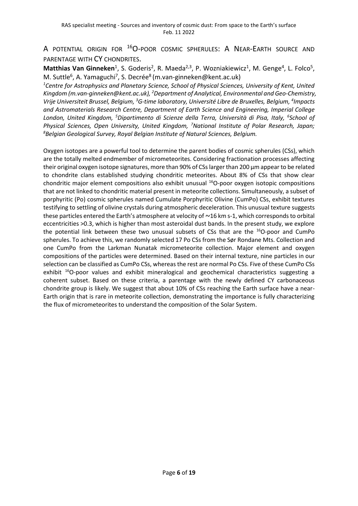A POTENTIAL ORIGIN FOR <sup>16</sup>O-POOR COSMIC SPHERULES: A NEAR-EARTH SOURCE AND PARENTAGE WITH CY CHONDRITES.

Matthias Van Ginneken<sup>1</sup>, S. Goderis<sup>2</sup>, R. Maeda<sup>2,3</sup>, P. Wozniakiewicz<sup>1</sup>, M. Genge<sup>4</sup>, L. Folco<sup>5</sup>, M. Suttle<sup>6</sup>, A. Yamaguchi<sup>7</sup>, S. Decrée<sup>8</sup> (m.van-ginneken@kent.ac.uk)

*<sup>1</sup>Centre for Astrophysics and Planetary Science, School of Physical Sciences, University of Kent, United Kingdom (m.van-ginneken@kent.ac.uk), <sup>2</sup>Department of Analytical, Environmental and Geo-Chemistry, Vrije Universiteit Brussel, Belgium, <sup>3</sup>G-time laboratory, Université Libre de Bruxelles, Belgium, <sup>4</sup> Impacts and Astromaterials Research Centre, Department of Earth Science and Engineering, Imperial College London, United Kingdom, <sup>5</sup>Dipartimento di Scienze della Terra, Università di Pisa, Italy, <sup>6</sup> School of Physical Sciences, Open University, United Kingdom, <sup>7</sup>National Institute of Polar Research, Japan; <sup>8</sup>Belgian Geological Survey, Royal Belgian Institute of Natural Sciences, Belgium.*

Oxygen isotopes are a powerful tool to determine the parent bodies of cosmic spherules (CSs), which are the totally melted endmember of micrometeorites. Considering fractionation processes affecting their original oxygen isotope signatures, more than 90% of CSs larger than 200 µm appear to be related to chondrite clans established studying chondritic meteorites. About 8% of CSs that show clear chondritic major element compositions also exhibit unusual <sup>16</sup>O-poor oxygen isotopic compositions that are not linked to chondritic material present in meteorite collections. Simultaneously, a subset of porphyritic (Po) cosmic spherules named Cumulate Porphyritic Olivine (CumPo) CSs, exhibit textures testifying to settling of olivine crystals during atmospheric deceleration. This unusual texture suggests these particles entered the Earth's atmosphere at velocity of  $\sim$ 16 km s-1, which corresponds to orbital eccentricities >0.3, which is higher than most asteroidal dust bands. In the present study, we explore the potential link between these two unusual subsets of CSs that are the  $^{16}O$ -poor and CumPo spherules. To achieve this, we randomly selected 17 Po CSs from the Sør Rondane Mts. Collection and one CumPo from the Larkman Nunatak micrometeorite collection. Major element and oxygen compositions of the particles were determined. Based on their internal texture, nine particles in our selection can be classified as CumPo CSs, whereas the rest are normal Po CSs. Five of these CumPo CSs exhibit <sup>16</sup>O-poor values and exhibit mineralogical and geochemical characteristics suggesting a coherent subset. Based on these criteria, a parentage with the newly defined CY carbonaceous chondrite group is likely. We suggest that about 10% of CSs reaching the Earth surface have a near-Earth origin that is rare in meteorite collection, demonstrating the importance is fully characterizing the flux of micrometeorites to understand the composition of the Solar System.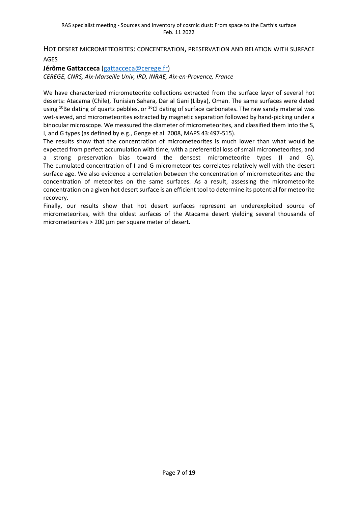HOT DESERT MICROMETEORITES: CONCENTRATION, PRESERVATION AND RELATION WITH SURFACE AGES

**Jérôme Gattacceca** [\(gattacceca@cerege.fr\)](mailto:gattacceca@cerege.fr) *CEREGE, CNRS, Aix-Marseille Univ, IRD, INRAE, Aix-en-Provence, France*

We have characterized micrometeorite collections extracted from the surface layer of several hot deserts: Atacama (Chile), Tunisian Sahara, Dar al Gani (Libya), Oman. The same surfaces were dated using <sup>10</sup>Be dating of quartz pebbles, or <sup>36</sup>Cl dating of surface carbonates. The raw sandy material was wet-sieved, and micrometeorites extracted by magnetic separation followed by hand-picking under a binocular microscope. We measured the diameter of micrometeorites, and classified them into the S, I, and G types (as defined by e.g., Genge et al. 2008, MAPS 43:497-515).

The results show that the concentration of micrometeorites is much lower than what would be expected from perfect accumulation with time, with a preferential loss of small micrometeorites, and a strong preservation bias toward the densest micrometeorite types (I and G). The cumulated concentration of I and G micrometeorites correlates relatively well with the desert surface age. We also evidence a correlation between the concentration of micrometeorites and the concentration of meteorites on the same surfaces. As a result, assessing the micrometeorite concentration on a given hot desert surface is an efficient tool to determine its potential for meteorite recovery.

Finally, our results show that hot desert surfaces represent an underexploited source of micrometeorites, with the oldest surfaces of the Atacama desert yielding several thousands of micrometeorites > 200 µm per square meter of desert.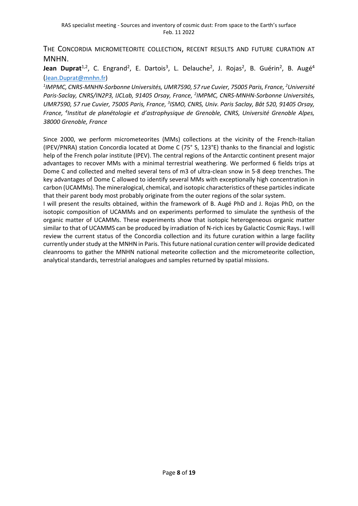THE CONCORDIA MICROMETEORITE COLLECTION, RECENT RESULTS AND FUTURE CURATION AT MNHN.

Jean Duprat<sup>1,2</sup>, C. Engrand<sup>2</sup>, E. Dartois<sup>3</sup>, L. Delauche<sup>2</sup>, J. Rojas<sup>2</sup>, B. Guérin<sup>2</sup>, B. Augé<sup>4</sup> ([Jean.Duprat@mnhn.fr\)](mailto:Jean.Duprat@mnhn.fr)

<sup>1</sup>IMPMC, CNRS-MNHN-Sorbonne Universités, UMR7590, 57 rue Cuvier, 75005 Paris, France, <sup>2</sup>Université *Paris-Saclay, CNRS/IN2P3, IJCLab, 91405 Orsay, France, 2 IMPMC, CNRS-MNHN-Sorbonne Universités,*  UMR7590, 57 rue Cuvier, 75005 Paris, France, <sup>3</sup>ISMO, CNRS, Univ. Paris Saclay, Bât 520, 91405 Orsay, *France, 4 Institut de planétologie et d'astrophysique de Grenoble, CNRS, Université Grenoble Alpes, 38000 Grenoble, France*

Since 2000, we perform micrometeorites (MMs) collections at the vicinity of the French-Italian (IPEV/PNRA) station Concordia located at Dome C (75° S, 123°E) thanks to the financial and logistic help of the French polar institute (IPEV). The central regions of the Antarctic continent present major advantages to recover MMs with a minimal terrestrial weathering. We performed 6 fields trips at Dome C and collected and melted several tens of m3 of ultra-clean snow in 5-8 deep trenches. The key advantages of Dome C allowed to identify several MMs with exceptionally high concentration in carbon (UCAMMs). The mineralogical, chemical, and isotopic characteristics of these particles indicate that their parent body most probably originate from the outer regions of the solar system.

I will present the results obtained, within the framework of B. Augé PhD and J. Rojas PhD, on the isotopic composition of UCAMMs and on experiments performed to simulate the synthesis of the organic matter of UCAMMs. These experiments show that isotopic heterogeneous organic matter similar to that of UCAMMS can be produced by irradiation of N-rich ices by Galactic Cosmic Rays. I will review the current status of the Concordia collection and its future curation within a large facility currently under study at the MNHN in Paris. This future national curation center will provide dedicated cleanrooms to gather the MNHN national meteorite collection and the micrometeorite collection, analytical standards, terrestrial analogues and samples returned by spatial missions.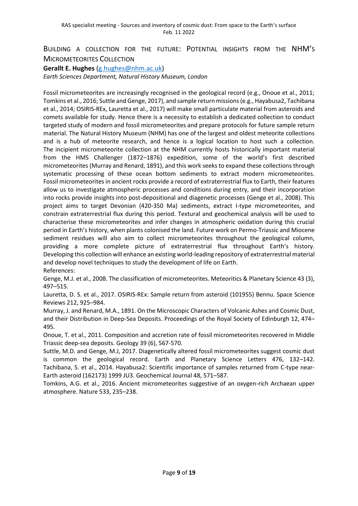### BUILDING A COLLECTION FOR THE FUTURE: POTENTIAL INSIGHTS FROM THE NHM'S MICROMETEORITES COLLECTION

**Gerallt E. Hughes** [\(g.hughes@nhm.ac.uk\)](mailto:g.hughes@nhm.ac.uk)

*Earth Sciences Department, Natural History Museum, London* 

Fossil micrometeorites are increasingly recognised in the geological record (e.g., Onoue et al., 2011; Tomkins et al., 2016; Suttle and Genge, 2017), and sample return missions (e.g., Hayabusa2, Tachibana et al., 2014; OSIRIS-REx, Lauretta et al., 2017) will make small particulate material from asteroids and comets available for study. Hence there is a necessity to establish a dedicated collection to conduct targeted study of modern and fossil micrometeorites and prepare protocols for future sample return material. The Natural History Museum (NHM) has one of the largest and oldest meteorite collections and is a hub of meteorite research, and hence is a logical location to host such a collection. The incipient micrometeorite collection at the NHM currently hosts historically important material from the HMS Challenger (1872–1876) expedition, some of the world's first described micrometeorites (Murray and Renard, 1891), and this work seeks to expand these collections through systematic processing of these ocean bottom sediments to extract modern micrometeorites. Fossil micrometeorites in ancient rocks provide a record of extraterrestrial flux to Earth, their features allow us to investigate atmospheric processes and conditions during entry, and their incorporation into rocks provide insights into post-depositional and diagenetic processes (Genge et al., 2008). This project aims to target Devonian (420-350 Ma) sediments, extract I-type micrometeorites, and constrain extraterrestrial flux during this period. Textural and geochemical analysis will be used to characterise these micrometeorites and infer changes in atmospheric oxidation during this crucial period in Earth's history, when plants colonised the land. Future work on Permo-Triassic and Miocene sediment residues will also aim to collect micrometeorites throughout the geological column, providing a more complete picture of extraterrestrial flux throughout Earth's history. Developing this collection will enhance an existing world-leading repository of extraterrestrial material and develop novel techniques to study the development of life on Earth. References:

Genge, M.J. et al., 2008. The classification of micrometeorites. Meteoritics & Planetary Science 43 (3), 497–515.

Lauretta, D. S. et al., 2017. OSIRIS-REx: Sample return from asteroid (101955) Bennu. Space Science Reviews 212, 925–984.

Murray, J. and Renard, M.A., 1891. On the Microscopic Characters of Volcanic Ashes and Cosmic Dust, and their Distribution in Deep-Sea Deposits. Proceedings of the Royal Society of Edinburgh 12, 474– 495.

Onoue, T. et al., 2011. Composition and accretion rate of fossil micrometeorites recovered in Middle Triassic deep-sea deposits. Geology 39 (6), 567-570.

Suttle, M.D. and Genge, M.J, 2017. Diagenetically altered fossil micrometeorites suggest cosmic dust is common the geological record. Earth and Planetary Science Letters 476, 132–142. Tachibana, S. et al., 2014. Hayabusa2: Scientific importance of samples returned from C-type near-Earth asteroid (162173) 1999 JU3. Geochemical Journal 48, 571–587.

Tomkins, A.G. et al., 2016. Ancient micrometeorites suggestive of an oxygen-rich Archaean upper atmosphere. Nature 533, 235–238.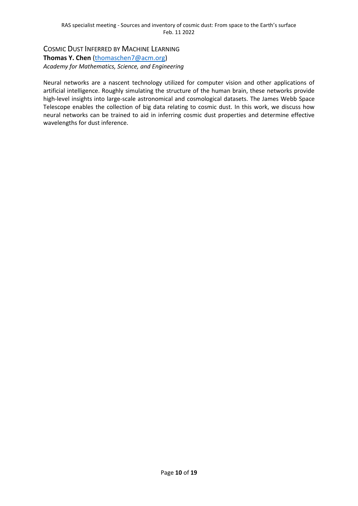COSMIC DUST INFERRED BY MACHINE LEARNING **Thomas Y. Chen** [\(thomaschen7@acm.org\)](mailto:thomaschen7@acm.org) *Academy for Mathematics, Science, and Engineering*

Neural networks are a nascent technology utilized for computer vision and other applications of artificial intelligence. Roughly simulating the structure of the human brain, these networks provide high-level insights into large-scale astronomical and cosmological datasets. The James Webb Space Telescope enables the collection of big data relating to cosmic dust. In this work, we discuss how neural networks can be trained to aid in inferring cosmic dust properties and determine effective wavelengths for dust inference.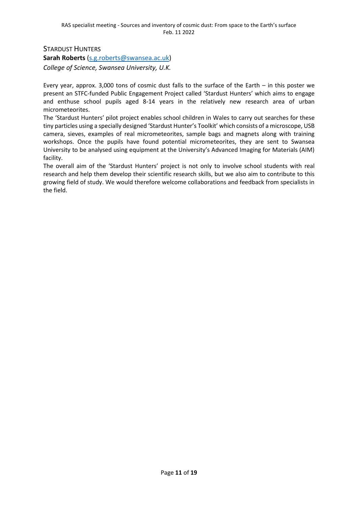STARDUST HUNTERS

**Sarah Roberts** [\(s.g.roberts@swansea.ac.uk\)](mailto:s.g.roberts@swansea.ac.uk) *College of Science, Swansea University, U.K.*

Every year, approx. 3,000 tons of cosmic dust falls to the surface of the Earth – in this poster we present an STFC-funded Public Engagement Project called 'Stardust Hunters' which aims to engage and enthuse school pupils aged 8-14 years in the relatively new research area of urban micrometeorites.

The 'Stardust Hunters' pilot project enables school children in Wales to carry out searches for these tiny particles using a specially designed 'Stardust Hunter's Toolkit' which consists of a microscope, USB camera, sieves, examples of real micrometeorites, sample bags and magnets along with training workshops. Once the pupils have found potential micrometeorites, they are sent to Swansea University to be analysed using equipment at the University's Advanced Imaging for Materials (AIM) facility.

The overall aim of the 'Stardust Hunters' project is not only to involve school students with real research and help them develop their scientific research skills, but we also aim to contribute to this growing field of study. We would therefore welcome collaborations and feedback from specialists in the field.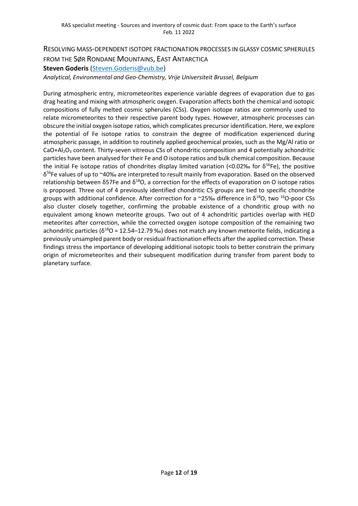# RESOLVING MASS-DEPENDENT ISOTOPE FRACTIONATION PROCESSES IN GLASSY COSMIC SPHERULES FROM THE SØR RONDANE MOUNTAINS, EAST ANTARCTICA **Steven Goderis** [\(Steven.Goderis@vub.be\)](mailto:Steven.Goderis@vub.be)

*Analytical, Environmental and Geo-Chemistry, Vrije Universiteit Brussel, Belgium*

During atmospheric entry, micrometeorites experience variable degrees of evaporation due to gas drag heating and mixing with atmospheric oxygen. Evaporation affects both the chemical and isotopic compositions of fully melted cosmic spherules (CSs). Oxygen isotope ratios are commonly used to relate micrometeorites to their respective parent body types. However, atmospheric processes can obscure the initial oxygen isotope ratios, which complicates precursor identification. Here, we explore the potential of Fe isotope ratios to constrain the degree of modification experienced during atmospheric passage, in addition to routinely applied geochemical proxies, such as the Mg/Al ratio or  $CaO + Al<sub>2</sub>O<sub>3</sub>$  content. Thirty-seven vitreous CSs of chondritic composition and 4 potentially achondritic particles have been analysed for their Fe and O isotope ratios and bulk chemical composition. Because the initial Fe isotope ratios of chondrites display limited variation (<0.02‰ for  $\delta^{56}$ Fe), the positive δ <sup>56</sup>Fe values of up to ~40‰ are interpreted to result mainly from evaporation. Based on the observed relationship between δ57Fe and  $δ<sup>18</sup>O$ , a correction for the effects of evaporation on O isotope ratios is proposed. Three out of 4 previously identified chondritic CS groups are tied to specific chondrite groups with additional confidence. After correction for a  $\sim$ 25‰ difference in  $\delta^{18}O$ , two  $^{16}O$ -poor CSs also cluster closely together, confirming the probable existence of a chondritic group with no equivalent among known meteorite groups. Two out of 4 achondritic particles overlap with HED meteorites after correction, while the corrected oxygen isotope composition of the remaining two achondritic particles ( $δ^{18}$ O = 12.54–12.79 ‰) does not match any known meteorite fields, indicating a previously unsampled parent body or residual fractionation effects after the applied correction. These findings stress the importance of developing additional isotopic tools to better constrain the primary origin of micrometeorites and their subsequent modification during transfer from parent body to planetary surface.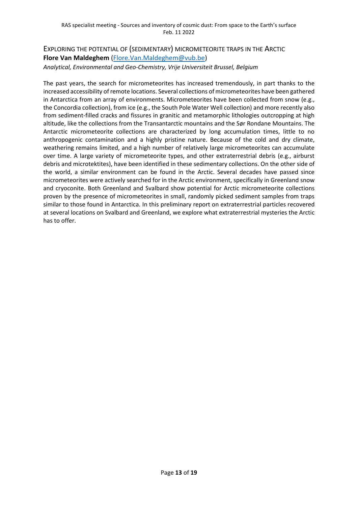# EXPLORING THE POTENTIAL OF (SEDIMENTARY) MICROMETEORITE TRAPS IN THE ARCTIC **Flore Van Maldeghem** [\(Flore.Van.Maldeghem@vub.be\)](mailto:Flore.Van.Maldeghem@vub.be)

*Analytical, Environmental and Geo-Chemistry, Vrije Universiteit Brussel, Belgium*

The past years, the search for micrometeorites has increased tremendously, in part thanks to the increased accessibility of remote locations. Several collections of micrometeorites have been gathered in Antarctica from an array of environments. Micrometeorites have been collected from snow (e.g., the Concordia collection), from ice (e.g., the South Pole Water Well collection) and more recently also from sediment-filled cracks and fissures in granitic and metamorphic lithologies outcropping at high altitude, like the collections from the Transantarctic mountains and the Sør Rondane Mountains. The Antarctic micrometeorite collections are characterized by long accumulation times, little to no anthropogenic contamination and a highly pristine nature. Because of the cold and dry climate, weathering remains limited, and a high number of relatively large micrometeorites can accumulate over time. A large variety of micrometeorite types, and other extraterrestrial debris (e.g., airburst debris and microtektites), have been identified in these sedimentary collections. On the other side of the world, a similar environment can be found in the Arctic. Several decades have passed since micrometeorites were actively searched for in the Arctic environment, specifically in Greenland snow and cryoconite. Both Greenland and Svalbard show potential for Arctic micrometeorite collections proven by the presence of micrometeorites in small, randomly picked sediment samples from traps similar to those found in Antarctica. In this preliminary report on extraterrestrial particles recovered at several locations on Svalbard and Greenland, we explore what extraterrestrial mysteries the Arctic has to offer.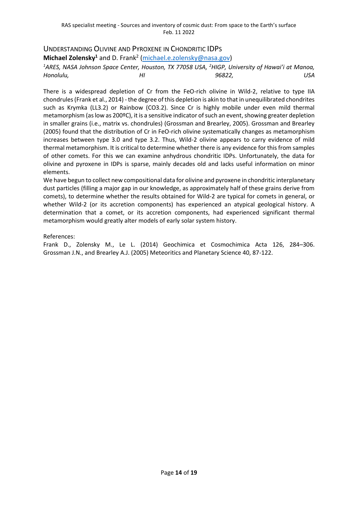## UNDERSTANDING OLIVINE AND PYROXENE IN CHONDRITIC IDPS

**Michael Zolensky<sup>1</sup>** and D. Frank<sup>2</sup> [\(michael.e.zolensky@nasa.gov\)](mailto:michael.e.zolensky@nasa.gov)

<sup>1</sup>ARES, NASA Johnson Space Center, Houston, TX 77058 USA, <sup>2</sup>HIGP, University of Hawai'i at Manoa, *Honolulu, HI 96822, USA*

There is a widespread depletion of Cr from the FeO-rich olivine in Wild-2, relative to type IIA chondrules (Frank et al., 2014) -the degree of this depletion is akin to that in unequilibrated chondrites such as Krymka (LL3.2) or Rainbow (CO3.2). Since Cr is highly mobile under even mild thermal metamorphism (as low as 200ºC), it is a sensitive indicator of such an event, showing greater depletion in smaller grains (i.e., matrix vs. chondrules) (Grossman and Brearley, 2005). Grossman and Brearley (2005) found that the distribution of Cr in FeO-rich olivine systematically changes as metamorphism increases between type 3.0 and type 3.2. Thus, Wild-2 olivine appears to carry evidence of mild thermal metamorphism. It is critical to determine whether there is any evidence for this from samples of other comets. For this we can examine anhydrous chondritic IDPs. Unfortunately, the data for olivine and pyroxene in IDPs is sparse, mainly decades old and lacks useful information on minor elements.

We have begun to collect new compositional data for olivine and pyroxene in chondritic interplanetary dust particles (filling a major gap in our knowledge, as approximately half of these grains derive from comets), to determine whether the results obtained for Wild-2 are typical for comets in general, or whether Wild-2 (or its accretion components) has experienced an atypical geological history. A determination that a comet, or its accretion components, had experienced significant thermal metamorphism would greatly alter models of early solar system history.

#### References:

Frank D., Zolensky M., Le L. (2014) Geochimica et Cosmochimica Acta 126, 284–306. Grossman J.N., and Brearley A.J. (2005) Meteoritics and Planetary Science 40, 87-122.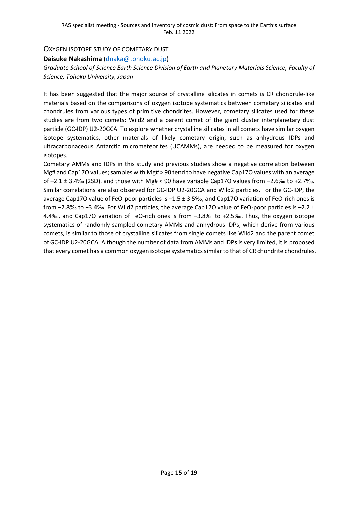#### OXYGEN ISOTOPE STUDY OF COMETARY DUST

#### **Daisuke Nakashima** [\(dnaka@tohoku.ac.jp\)](mailto:dnaka@tohoku.ac.jp)

#### *Graduate School of Science Earth Science Division of Earth and Planetary Materials Science, Faculty of Science, Tohoku University, Japan*

It has been suggested that the major source of crystalline silicates in comets is CR chondrule-like materials based on the comparisons of oxygen isotope systematics between cometary silicates and chondrules from various types of primitive chondrites. However, cometary silicates used for these studies are from two comets: Wild2 and a parent comet of the giant cluster interplanetary dust particle (GC-IDP) U2-20GCA. To explore whether crystalline silicates in all comets have similar oxygen isotope systematics, other materials of likely cometary origin, such as anhydrous IDPs and ultracarbonaceous Antarctic micrometeorites (UCAMMs), are needed to be measured for oxygen isotopes.

Cometary AMMs and IDPs in this study and previous studies show a negative correlation between Mg# and Cap17O values; samples with Mg# > 90 tend to have negative Cap17O values with an average of –2.1 ± 3.4‰ (2SD), and those with Mg# < 90 have variable Cap17O values from –2.6‰ to +2.7‰. Similar correlations are also observed for GC-IDP U2-20GCA and Wild2 particles. For the GC-IDP, the average Cap17O value of FeO-poor particles is –1.5 ± 3.5‰, and Cap17O variation of FeO-rich ones is from  $-2.8\%$  to +3.4‰. For Wild2 particles, the average Cap17O value of FeO-poor particles is  $-2.2 \pm 1$ 4.4‰, and Cap17O variation of FeO-rich ones is from –3.8‰ to +2.5‰. Thus, the oxygen isotope systematics of randomly sampled cometary AMMs and anhydrous IDPs, which derive from various comets, is similar to those of crystalline silicates from single comets like Wild2 and the parent comet of GC-IDP U2-20GCA. Although the number of data from AMMs and IDPs is very limited, it is proposed that every comet has a common oxygen isotope systematics similar to that of CR chondrite chondrules.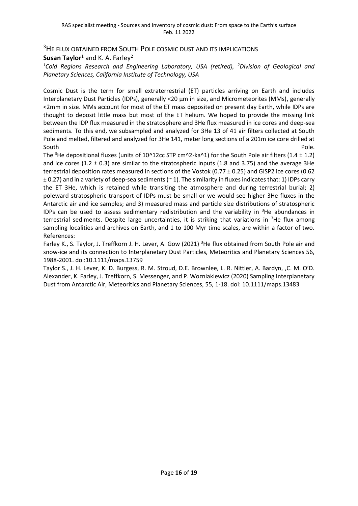<sup>3</sup>HE FLUX OBTAINED FROM SOUTH POLE COSMIC DUST AND ITS IMPLICATIONS

**Susan Taylor**<sup>1</sup> and K. A. Farley<sup>2</sup>

*<sup>1</sup>Cold Regions Research and Engineering Laboratory, USA (retired), <sup>2</sup>Division of Geological and Planetary Sciences, California Institute of Technology, USA*

Cosmic Dust is the term for small extraterrestrial (ET) particles arriving on Earth and includes Interplanetary Dust Particles (IDPs), generally <20 µm in size, and Micrometeorites (MMs), generally <2mm in size. MMs account for most of the ET mass deposited on present day Earth, while IDPs are thought to deposit little mass but most of the ET helium. We hoped to provide the missing link between the IDP flux measured in the stratosphere and 3He flux measured in ice cores and deep-sea sediments. To this end, we subsampled and analyzed for 3He 13 of 41 air filters collected at South Pole and melted, filtered and analyzed for 3He 141, meter long sections of a 201m ice core drilled at South Pole.

The <sup>3</sup>He depositional fluxes (units of 10^12cc STP cm^2-ka^1) for the South Pole air filters (1.4  $\pm$  1.2) and ice cores  $(1.2 \pm 0.3)$  are similar to the stratospheric inputs (1.8 and 3.75) and the average 3He terrestrial deposition rates measured in sections of the Vostok (0.77 ± 0.25) and GISP2 ice cores (0.62  $\pm$  0.27) and in a variety of deep-sea sediments ( $\approx$  1). The similarity in fluxes indicates that: 1) IDPs carry the ET 3He, which is retained while transiting the atmosphere and during terrestrial burial; 2) poleward stratospheric transport of IDPs must be small or we would see higher 3He fluxes in the Antarctic air and ice samples; and 3) measured mass and particle size distributions of stratospheric IDPs can be used to assess sedimentary redistribution and the variability in  $3$ He abundances in terrestrial sediments. Despite large uncertainties, it is striking that variations in <sup>3</sup>He flux among sampling localities and archives on Earth, and 1 to 100 Myr time scales, are within a factor of two. References:

Farley K., S. Taylor, J. Treffkorn J. H. Lever, A. Gow (2021) <sup>3</sup>He flux obtained from South Pole air and snow-ice and its connection to Interplanetary Dust Particles, Meteoritics and Planetary Sciences 56, 1988-2001. doi:10.1111/maps.13759

Taylor S., J. H. Lever, K. D. Burgess, R. M. Stroud, D.E. Brownlee, L. R. Nittler, A. Bardyn, ,C. M. O'D. Alexander, K. Farley, J. Treffkorn, S. Messenger, and P. Wozniakiewicz (2020) Sampling Interplanetary Dust from Antarctic Air, Meteoritics and Planetary Sciences, 55, 1-18. doi: 10.1111/maps.13483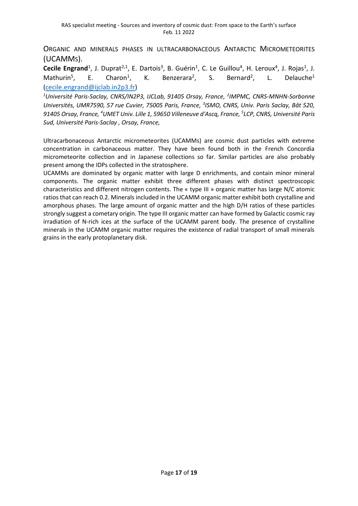ORGANIC AND MINERALS PHASES IN ULTRACARBONACEOUS ANTARCTIC MICROMETEORITES (UCAMMS).

Cecile Engrand<sup>1</sup>, J. Duprat<sup>2,1</sup>, E. Dartois<sup>3</sup>, B. Guérin<sup>1</sup>, C. Le Guillou<sup>4</sup>, H. Leroux<sup>4</sup>, J. Rojas<sup>1</sup>, J. Mathurin<sup>5</sup>, E. Charon $<sup>1</sup>$ ,</sup> , K. Benzerara<sup>2</sup>, S. Bernard<sup>2</sup> Bernard<sup>2</sup>, L. Delauche<sup>1</sup> [\(cecile.engrand@ijclab.in2p3.fr\)](mailto:cecile.engrand@ijclab.in2p3.fr)

<sup>1</sup>Université Paris-Saclay, CNRS/IN2P3, IJCLab, 91405 Orsay, France, <sup>2</sup>IMPMC, CNRS-MNHN-Sorbonne Universités, UMR7590, 57 rue Cuvier, 75005 Paris, France, <sup>3</sup>ISMO, CNRS, Univ. Paris Saclay, Bât 520, *91405 Orsay, France, <sup>4</sup>UMET Univ. Lille 1, 59650 Villeneuve d'Ascq, France, 5 LCP, CNRS, Université Paris Sud, Université Paris-Saclay , Orsay, France,* 

Ultracarbonaceous Antarctic micrometeorites (UCAMMs) are cosmic dust particles with extreme concentration in carbonaceous matter. They have been found both in the French Concordia micrometeorite collection and in Japanese collections so far. Similar particles are also probably present among the IDPs collected in the stratosphere.

UCAMMs are dominated by organic matter with large D enrichments, and contain minor mineral components. The organic matter exhibit three different phases with distinct spectroscopic characteristics and different nitrogen contents. The « type III » organic matter has large N/C atomic ratios that can reach 0.2. Minerals included in the UCAMM organic matter exhibit both crystalline and amorphous phases. The large amount of organic matter and the high D/H ratios of these particles strongly suggest a cometary origin. The type III organic matter can have formed by Galactic cosmic ray irradiation of N-rich ices at the surface of the UCAMM parent body. The presence of crystalline minerals in the UCAMM organic matter requires the existence of radial transport of small minerals grains in the early protoplanetary disk.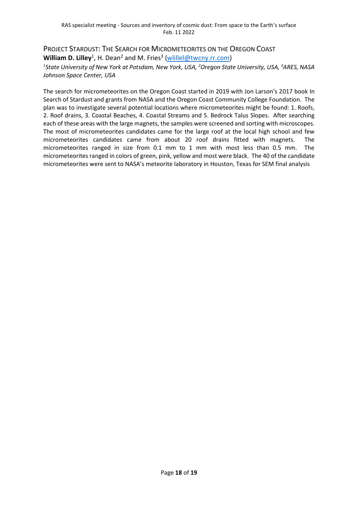PROJECT STARDUST: THE SEARCH FOR MICROMETEORITES ON THE OREGON COAST William D. Lilley<sup>1</sup>, H. Dean<sup>2</sup> and M. Fries<sup>3</sup> [\(wlillel@twcny.rr.com\)](mailto:wlillel@twcny.rr.com) *1 State University of New York at Potsdam, New York, USA, <sup>2</sup>Oregon State University, USA, <sup>3</sup>ARES, NASA Johnson Space Center, USA*

The search for micrometeorites on the Oregon Coast started in 2019 with Jon Larson's 2017 book In Search of Stardust and grants from NASA and the Oregon Coast Community College Foundation. The plan was to investigate several potential locations where micrometeorites might be found: 1. Roofs, 2. Roof drains, 3. Coastal Beaches, 4. Coastal Streams and 5. Bedrock Talus Slopes. After searching each of these areas with the large magnets, the samples were screened and sorting with microscopes. The most of micrometeorites candidates came for the large roof at the local high school and few micrometeorites candidates came from about 20 roof drains fitted with magnets. The micrometeorites ranged in size from 0.1 mm to 1 mm with most less than 0.5 mm. The micrometeorites ranged in colors of green, pink, yellow and most were black. The 40 of the candidate micrometeorites were sent to NASA's meteorite laboratory in Houston, Texas for SEM final analysis